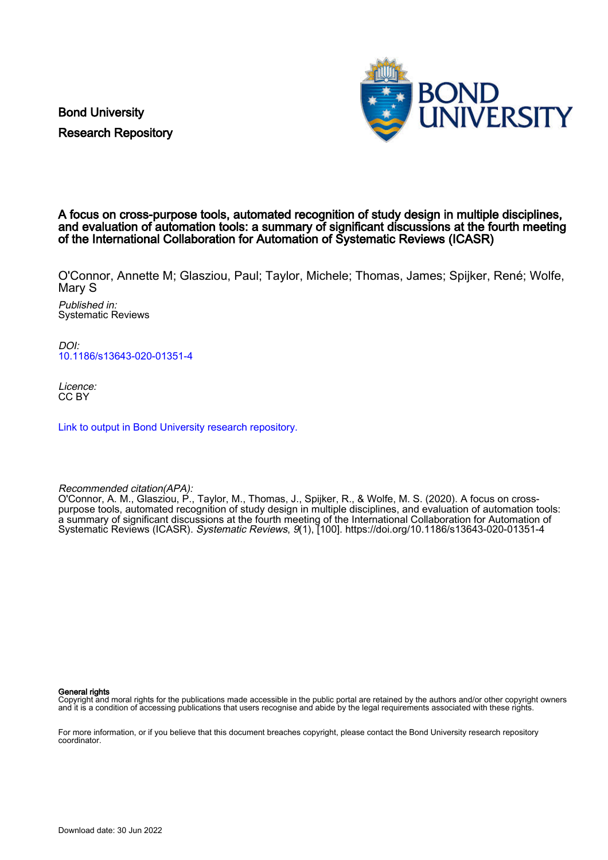Bond University Research Repository



## A focus on cross-purpose tools, automated recognition of study design in multiple disciplines, and evaluation of automation tools: a summary of significant discussions at the fourth meeting of the International Collaboration for Automation of Systematic Reviews (ICASR)

O'Connor, Annette M; Glasziou, Paul; Taylor, Michele; Thomas, James; Spijker, René; Wolfe, Mary S

Published in: Systematic Reviews

DOI: [10.1186/s13643-020-01351-4](https://doi.org/10.1186/s13643-020-01351-4)

Licence: CC BY

[Link to output in Bond University research repository.](https://research.bond.edu.au/en/publications/6dbfff41-3827-456e-a1db-7fefe76d67f3)

Recommended citation(APA):

O'Connor, A. M., Glasziou, P., Taylor, M., Thomas, J., Spijker, R., & Wolfe, M. S. (2020). A focus on crosspurpose tools, automated recognition of study design in multiple disciplines, and evaluation of automation tools: a summary of significant discussions at the fourth meeting of the International Collaboration for Automation of Systematic Reviews (ICASR). Systematic Reviews, 9(1), [100]. <https://doi.org/10.1186/s13643-020-01351-4>

General rights

Copyright and moral rights for the publications made accessible in the public portal are retained by the authors and/or other copyright owners and it is a condition of accessing publications that users recognise and abide by the legal requirements associated with these rights.

For more information, or if you believe that this document breaches copyright, please contact the Bond University research repository coordinator.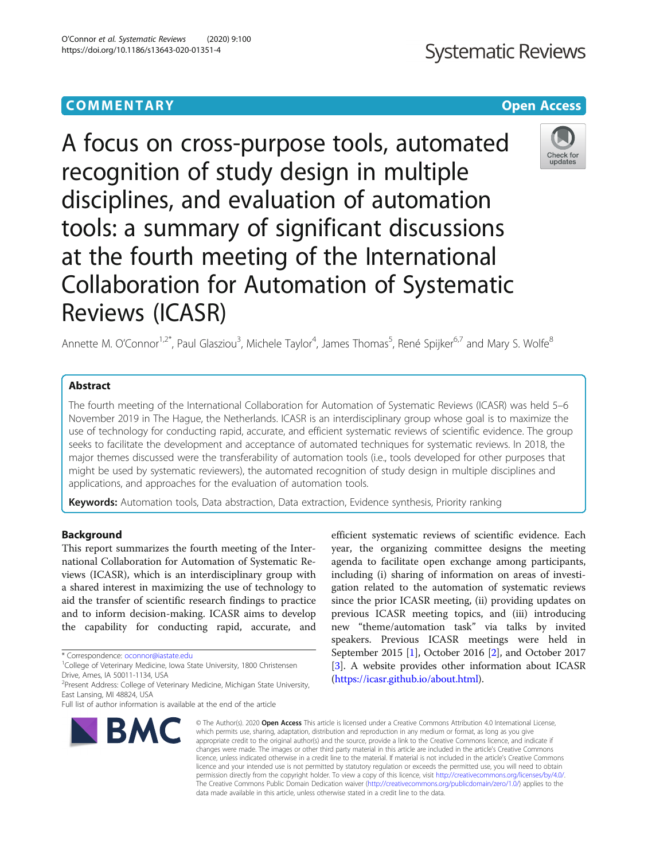A focus on cross-purpose tools, automated recognition of study design in multiple disciplines, and evaluation of automation tools: a summary of significant discussions at the fourth meeting of the International Collaboration for Automation of Systematic Reviews (ICASR)

Annette M. O'Connor<sup>1,2\*</sup>, Paul Glasziou<sup>3</sup>, Michele Taylor<sup>4</sup>, James Thomas<sup>5</sup>, René Spijker<sup>6,7</sup> and Mary S. Wolfe<sup>8</sup>

## Abstract

The fourth meeting of the International Collaboration for Automation of Systematic Reviews (ICASR) was held 5–6 November 2019 in The Hague, the Netherlands. ICASR is an interdisciplinary group whose goal is to maximize the use of technology for conducting rapid, accurate, and efficient systematic reviews of scientific evidence. The group seeks to facilitate the development and acceptance of automated techniques for systematic reviews. In 2018, the major themes discussed were the transferability of automation tools (i.e., tools developed for other purposes that might be used by systematic reviewers), the automated recognition of study design in multiple disciplines and applications, and approaches for the evaluation of automation tools.

Keywords: Automation tools, Data abstraction, Data extraction, Evidence synthesis, Priority ranking

## Background

This report summarizes the fourth meeting of the International Collaboration for Automation of Systematic Reviews (ICASR), which is an interdisciplinary group with a shared interest in maximizing the use of technology to aid the transfer of scientific research findings to practice and to inform decision-making. ICASR aims to develop the capability for conducting rapid, accurate, and

\* Correspondence: [oconnor@iastate.edu](mailto:oconnor@iastate.edu) <sup>1</sup>

<sup>1</sup>College of Veterinary Medicine, Iowa State University, 1800 Christensen Drive, Ames, IA 50011-1134, USA

<sup>2</sup> Present Address: College of Veterinary Medicine, Michigan State University, East Lansing, MI 48824, USA

Full list of author information is available at the end of the article



**BMC** 

efficient systematic reviews of scientific evidence. Each year, the organizing committee designs the meeting agenda to facilitate open exchange among participants, including (i) sharing of information on areas of investigation related to the automation of systematic reviews since the prior ICASR meeting, (ii) providing updates on previous ICASR meeting topics, and (iii) introducing new "theme/automation task" via talks by invited speakers. Previous ICASR meetings were held in September 2015 [\[1](#page-6-0)], October 2016 [[2](#page-6-0)], and October 2017 [[3\]](#page-6-0). A website provides other information about ICASR ([https://icasr.github.io/about.html\)](https://icasr.github.io/about.html).

© The Author(s), 2020 **Open Access** This article is licensed under a Creative Commons Attribution 4.0 International License, which permits use, sharing, adaptation, distribution and reproduction in any medium or format, as long as you give appropriate credit to the original author(s) and the source, provide a link to the Creative Commons licence, and indicate if changes were made. The images or other third party material in this article are included in the article's Creative Commons licence, unless indicated otherwise in a credit line to the material. If material is not included in the article's Creative Commons licence and your intended use is not permitted by statutory regulation or exceeds the permitted use, you will need to obtain permission directly from the copyright holder. To view a copy of this licence, visit [http://creativecommons.org/licenses/by/4.0/.](http://creativecommons.org/licenses/by/4.0/) The Creative Commons Public Domain Dedication waiver [\(http://creativecommons.org/publicdomain/zero/1.0/](http://creativecommons.org/publicdomain/zero/1.0/)) applies to the data made available in this article, unless otherwise stated in a credit line to the data.

Check for updates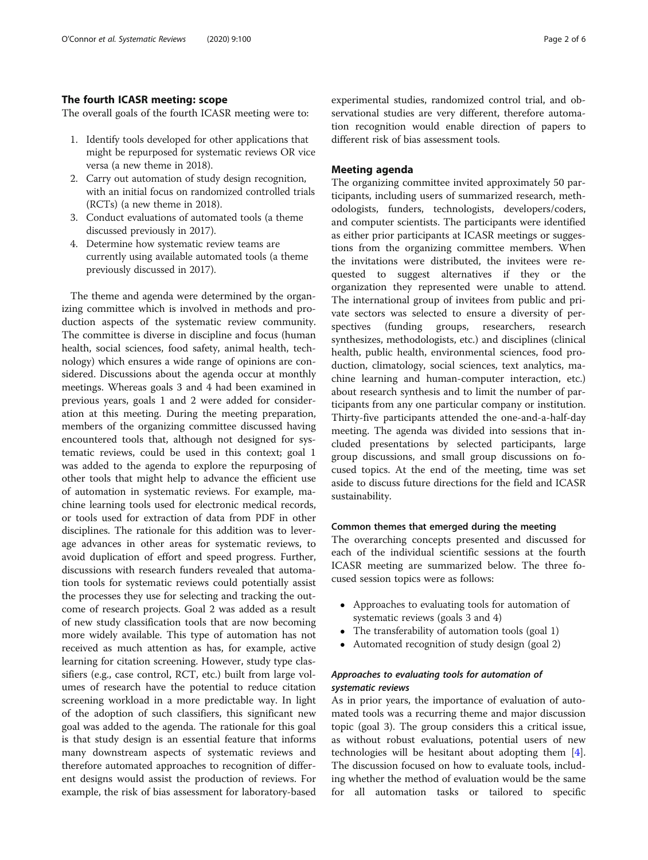### The fourth ICASR meeting: scope

The overall goals of the fourth ICASR meeting were to:

- 1. Identify tools developed for other applications that might be repurposed for systematic reviews OR vice versa (a new theme in 2018).
- 2. Carry out automation of study design recognition, with an initial focus on randomized controlled trials (RCTs) (a new theme in 2018).
- 3. Conduct evaluations of automated tools (a theme discussed previously in 2017).
- 4. Determine how systematic review teams are currently using available automated tools (a theme previously discussed in 2017).

The theme and agenda were determined by the organizing committee which is involved in methods and production aspects of the systematic review community. The committee is diverse in discipline and focus (human health, social sciences, food safety, animal health, technology) which ensures a wide range of opinions are considered. Discussions about the agenda occur at monthly meetings. Whereas goals 3 and 4 had been examined in previous years, goals 1 and 2 were added for consideration at this meeting. During the meeting preparation, members of the organizing committee discussed having encountered tools that, although not designed for systematic reviews, could be used in this context; goal 1 was added to the agenda to explore the repurposing of other tools that might help to advance the efficient use of automation in systematic reviews. For example, machine learning tools used for electronic medical records, or tools used for extraction of data from PDF in other disciplines. The rationale for this addition was to leverage advances in other areas for systematic reviews, to avoid duplication of effort and speed progress. Further, discussions with research funders revealed that automation tools for systematic reviews could potentially assist the processes they use for selecting and tracking the outcome of research projects. Goal 2 was added as a result of new study classification tools that are now becoming more widely available. This type of automation has not received as much attention as has, for example, active learning for citation screening. However, study type classifiers (e.g., case control, RCT, etc.) built from large volumes of research have the potential to reduce citation screening workload in a more predictable way. In light of the adoption of such classifiers, this significant new goal was added to the agenda. The rationale for this goal is that study design is an essential feature that informs many downstream aspects of systematic reviews and therefore automated approaches to recognition of different designs would assist the production of reviews. For example, the risk of bias assessment for laboratory-based experimental studies, randomized control trial, and observational studies are very different, therefore automation recognition would enable direction of papers to different risk of bias assessment tools.

## Meeting agenda

The organizing committee invited approximately 50 participants, including users of summarized research, methodologists, funders, technologists, developers/coders, and computer scientists. The participants were identified as either prior participants at ICASR meetings or suggestions from the organizing committee members. When the invitations were distributed, the invitees were requested to suggest alternatives if they or the organization they represented were unable to attend. The international group of invitees from public and private sectors was selected to ensure a diversity of perspectives (funding groups, researchers, research synthesizes, methodologists, etc.) and disciplines (clinical health, public health, environmental sciences, food production, climatology, social sciences, text analytics, machine learning and human-computer interaction, etc.) about research synthesis and to limit the number of participants from any one particular company or institution. Thirty-five participants attended the one-and-a-half-day meeting. The agenda was divided into sessions that included presentations by selected participants, large group discussions, and small group discussions on focused topics. At the end of the meeting, time was set aside to discuss future directions for the field and ICASR sustainability.

#### Common themes that emerged during the meeting

The overarching concepts presented and discussed for each of the individual scientific sessions at the fourth ICASR meeting are summarized below. The three focused session topics were as follows:

- Approaches to evaluating tools for automation of systematic reviews (goals 3 and 4)
- The transferability of automation tools (goal 1)
- Automated recognition of study design (goal 2)

## Approaches to evaluating tools for automation of systematic reviews

As in prior years, the importance of evaluation of automated tools was a recurring theme and major discussion topic (goal 3). The group considers this a critical issue, as without robust evaluations, potential users of new technologies will be hesitant about adopting them [\[4](#page-6-0)]. The discussion focused on how to evaluate tools, including whether the method of evaluation would be the same for all automation tasks or tailored to specific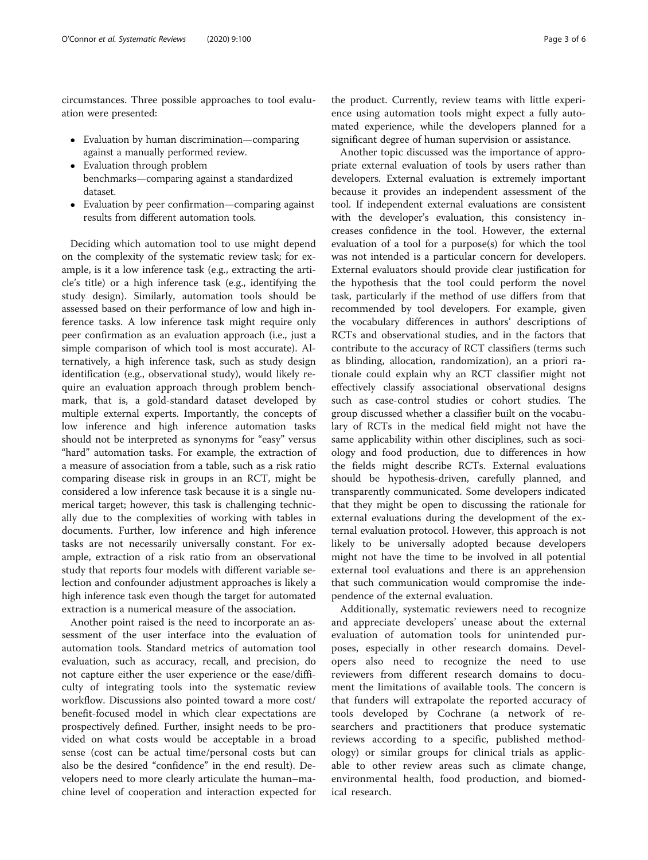circumstances. Three possible approaches to tool evaluation were presented:

- Evaluation by human discrimination—comparing against a manually performed review.
- Evaluation through problem benchmarks—comparing against a standardized dataset.
- Evaluation by peer confirmation—comparing against results from different automation tools.

Deciding which automation tool to use might depend on the complexity of the systematic review task; for example, is it a low inference task (e.g., extracting the article's title) or a high inference task (e.g., identifying the study design). Similarly, automation tools should be assessed based on their performance of low and high inference tasks. A low inference task might require only peer confirmation as an evaluation approach (i.e., just a simple comparison of which tool is most accurate). Alternatively, a high inference task, such as study design identification (e.g., observational study), would likely require an evaluation approach through problem benchmark, that is, a gold-standard dataset developed by multiple external experts. Importantly, the concepts of low inference and high inference automation tasks should not be interpreted as synonyms for "easy" versus "hard" automation tasks. For example, the extraction of a measure of association from a table, such as a risk ratio comparing disease risk in groups in an RCT, might be considered a low inference task because it is a single numerical target; however, this task is challenging technically due to the complexities of working with tables in documents. Further, low inference and high inference tasks are not necessarily universally constant. For example, extraction of a risk ratio from an observational study that reports four models with different variable selection and confounder adjustment approaches is likely a high inference task even though the target for automated extraction is a numerical measure of the association.

Another point raised is the need to incorporate an assessment of the user interface into the evaluation of automation tools. Standard metrics of automation tool evaluation, such as accuracy, recall, and precision, do not capture either the user experience or the ease/difficulty of integrating tools into the systematic review workflow. Discussions also pointed toward a more cost/ benefit-focused model in which clear expectations are prospectively defined. Further, insight needs to be provided on what costs would be acceptable in a broad sense (cost can be actual time/personal costs but can also be the desired "confidence" in the end result). Developers need to more clearly articulate the human–machine level of cooperation and interaction expected for

the product. Currently, review teams with little experience using automation tools might expect a fully automated experience, while the developers planned for a significant degree of human supervision or assistance.

Another topic discussed was the importance of appropriate external evaluation of tools by users rather than developers. External evaluation is extremely important because it provides an independent assessment of the tool. If independent external evaluations are consistent with the developer's evaluation, this consistency increases confidence in the tool. However, the external evaluation of a tool for a purpose(s) for which the tool was not intended is a particular concern for developers. External evaluators should provide clear justification for the hypothesis that the tool could perform the novel task, particularly if the method of use differs from that recommended by tool developers. For example, given the vocabulary differences in authors' descriptions of RCTs and observational studies, and in the factors that contribute to the accuracy of RCT classifiers (terms such as blinding, allocation, randomization), an a priori rationale could explain why an RCT classifier might not effectively classify associational observational designs such as case-control studies or cohort studies. The group discussed whether a classifier built on the vocabulary of RCTs in the medical field might not have the same applicability within other disciplines, such as sociology and food production, due to differences in how the fields might describe RCTs. External evaluations should be hypothesis-driven, carefully planned, and transparently communicated. Some developers indicated that they might be open to discussing the rationale for external evaluations during the development of the external evaluation protocol. However, this approach is not likely to be universally adopted because developers might not have the time to be involved in all potential external tool evaluations and there is an apprehension that such communication would compromise the independence of the external evaluation.

Additionally, systematic reviewers need to recognize and appreciate developers' unease about the external evaluation of automation tools for unintended purposes, especially in other research domains. Developers also need to recognize the need to use reviewers from different research domains to document the limitations of available tools. The concern is that funders will extrapolate the reported accuracy of tools developed by Cochrane (a network of researchers and practitioners that produce systematic reviews according to a specific, published methodology) or similar groups for clinical trials as applicable to other review areas such as climate change, environmental health, food production, and biomedical research.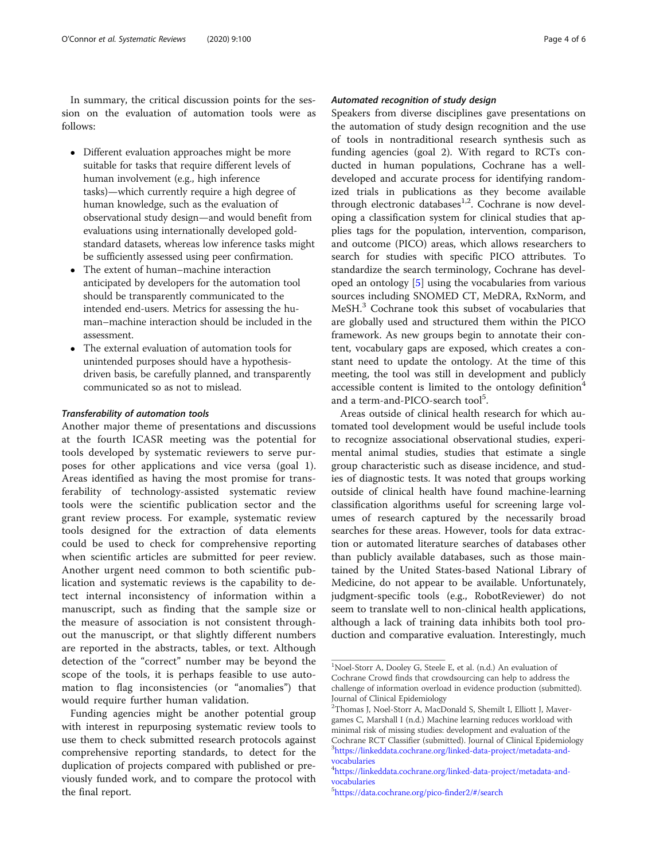In summary, the critical discussion points for the session on the evaluation of automation tools were as follows:

- Different evaluation approaches might be more suitable for tasks that require different levels of human involvement (e.g., high inference tasks)—which currently require a high degree of human knowledge, such as the evaluation of observational study design—and would benefit from evaluations using internationally developed goldstandard datasets, whereas low inference tasks might be sufficiently assessed using peer confirmation.
- The extent of human–machine interaction anticipated by developers for the automation tool should be transparently communicated to the intended end-users. Metrics for assessing the human–machine interaction should be included in the assessment.
- The external evaluation of automation tools for unintended purposes should have a hypothesisdriven basis, be carefully planned, and transparently communicated so as not to mislead.

#### Transferability of automation tools

Another major theme of presentations and discussions at the fourth ICASR meeting was the potential for tools developed by systematic reviewers to serve purposes for other applications and vice versa (goal 1). Areas identified as having the most promise for transferability of technology-assisted systematic review tools were the scientific publication sector and the grant review process. For example, systematic review tools designed for the extraction of data elements could be used to check for comprehensive reporting when scientific articles are submitted for peer review. Another urgent need common to both scientific publication and systematic reviews is the capability to detect internal inconsistency of information within a manuscript, such as finding that the sample size or the measure of association is not consistent throughout the manuscript, or that slightly different numbers are reported in the abstracts, tables, or text. Although detection of the "correct" number may be beyond the scope of the tools, it is perhaps feasible to use automation to flag inconsistencies (or "anomalies") that would require further human validation.

Funding agencies might be another potential group with interest in repurposing systematic review tools to use them to check submitted research protocols against comprehensive reporting standards, to detect for the duplication of projects compared with published or previously funded work, and to compare the protocol with the final report.

#### Automated recognition of study design

Speakers from diverse disciplines gave presentations on the automation of study design recognition and the use of tools in nontraditional research synthesis such as funding agencies (goal 2). With regard to RCTs conducted in human populations, Cochrane has a welldeveloped and accurate process for identifying randomized trials in publications as they become available through electronic databases $1,2$ . Cochrane is now developing a classification system for clinical studies that applies tags for the population, intervention, comparison, and outcome (PICO) areas, which allows researchers to search for studies with specific PICO attributes. To standardize the search terminology, Cochrane has developed an ontology [[5\]](#page-6-0) using the vocabularies from various sources including SNOMED CT, MeDRA, RxNorm, and MeSH.<sup>3</sup> Cochrane took this subset of vocabularies that are globally used and structured them within the PICO framework. As new groups begin to annotate their content, vocabulary gaps are exposed, which creates a constant need to update the ontology. At the time of this meeting, the tool was still in development and publicly accessible content is limited to the ontology definition $4$ and a term-and-PICO-search tool<sup>5</sup>.

Areas outside of clinical health research for which automated tool development would be useful include tools to recognize associational observational studies, experimental animal studies, studies that estimate a single group characteristic such as disease incidence, and studies of diagnostic tests. It was noted that groups working outside of clinical health have found machine-learning classification algorithms useful for screening large volumes of research captured by the necessarily broad searches for these areas. However, tools for data extraction or automated literature searches of databases other than publicly available databases, such as those maintained by the United States-based National Library of Medicine, do not appear to be available. Unfortunately, judgment-specific tools (e.g., RobotReviewer) do not seem to translate well to non-clinical health applications, although a lack of training data inhibits both tool production and comparative evaluation. Interestingly, much

<sup>&</sup>lt;sup>1</sup>Noel-Storr A, Dooley G, Steele E, et al. (n.d.) An evaluation of Cochrane Crowd finds that crowdsourcing can help to address the challenge of information overload in evidence production (submitted). Journal of Clinical Epidemiology

<sup>2</sup> Thomas J, Noel-Storr A, MacDonald S, Shemilt I, Elliott J, Mavergames C, Marshall I (n.d.) Machine learning reduces workload with minimal risk of missing studies: development and evaluation of the Cochrane RCT Classifier (submitted). Journal of Clinical Epidemiology 3 [https://linkeddata.cochrane.org/linked-data-project/metadata-and](https://linkeddata.cochrane.org/linked-data-project/metadata-and-vocabularies)[vocabularies](https://linkeddata.cochrane.org/linked-data-project/metadata-and-vocabularies)

<sup>4</sup> [https://linkeddata.cochrane.org/linked-data-project/metadata-and](https://linkeddata.cochrane.org/linked-data-project/metadata-and-vocabularies)[vocabularies](https://linkeddata.cochrane.org/linked-data-project/metadata-and-vocabularies)

<sup>5</sup> <https://data.cochrane.org/pico-finder2/#/search>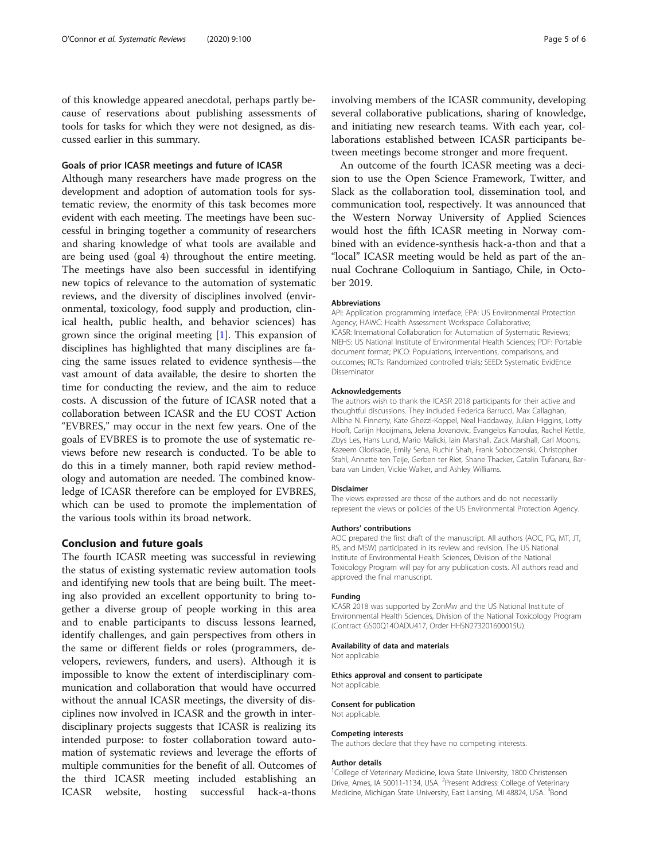of this knowledge appeared anecdotal, perhaps partly because of reservations about publishing assessments of tools for tasks for which they were not designed, as discussed earlier in this summary.

#### Goals of prior ICASR meetings and future of ICASR

Although many researchers have made progress on the development and adoption of automation tools for systematic review, the enormity of this task becomes more evident with each meeting. The meetings have been successful in bringing together a community of researchers and sharing knowledge of what tools are available and are being used (goal 4) throughout the entire meeting. The meetings have also been successful in identifying new topics of relevance to the automation of systematic reviews, and the diversity of disciplines involved (environmental, toxicology, food supply and production, clinical health, public health, and behavior sciences) has grown since the original meeting [[1\]](#page-6-0). This expansion of disciplines has highlighted that many disciplines are facing the same issues related to evidence synthesis—the vast amount of data available, the desire to shorten the time for conducting the review, and the aim to reduce costs. A discussion of the future of ICASR noted that a collaboration between ICASR and the EU COST Action "EVBRES," may occur in the next few years. One of the goals of EVBRES is to promote the use of systematic reviews before new research is conducted. To be able to do this in a timely manner, both rapid review methodology and automation are needed. The combined knowledge of ICASR therefore can be employed for EVBRES, which can be used to promote the implementation of the various tools within its broad network.

#### Conclusion and future goals

The fourth ICASR meeting was successful in reviewing the status of existing systematic review automation tools and identifying new tools that are being built. The meeting also provided an excellent opportunity to bring together a diverse group of people working in this area and to enable participants to discuss lessons learned, identify challenges, and gain perspectives from others in the same or different fields or roles (programmers, developers, reviewers, funders, and users). Although it is impossible to know the extent of interdisciplinary communication and collaboration that would have occurred without the annual ICASR meetings, the diversity of disciplines now involved in ICASR and the growth in interdisciplinary projects suggests that ICASR is realizing its intended purpose: to foster collaboration toward automation of systematic reviews and leverage the efforts of multiple communities for the benefit of all. Outcomes of the third ICASR meeting included establishing an ICASR website, hosting successful hack-a-thons

involving members of the ICASR community, developing several collaborative publications, sharing of knowledge, and initiating new research teams. With each year, collaborations established between ICASR participants between meetings become stronger and more frequent.

An outcome of the fourth ICASR meeting was a decision to use the Open Science Framework, Twitter, and Slack as the collaboration tool, dissemination tool, and communication tool, respectively. It was announced that the Western Norway University of Applied Sciences would host the fifth ICASR meeting in Norway combined with an evidence-synthesis hack-a-thon and that a "local" ICASR meeting would be held as part of the annual Cochrane Colloquium in Santiago, Chile, in October 2019.

#### Abbreviations

API: Application programming interface; EPA: US Environmental Protection Agency; HAWC: Health Assessment Workspace Collaborative; ICASR: International Collaboration for Automation of Systematic Reviews; NIEHS: US National Institute of Environmental Health Sciences; PDF: Portable document format; PICO: Populations, interventions, comparisons, and outcomes; RCTs: Randomized controlled trials; SEED: Systematic EvidEnce Disseminator

#### Acknowledgements

The authors wish to thank the ICASR 2018 participants for their active and thoughtful discussions. They included Federica Barrucci, Max Callaghan, Ailbhe N. Finnerty, Kate Ghezzi-Koppel, Neal Haddaway, Julian Higgins, Lotty Hooft, Carlijn Hooijmans, Jelena Jovanovic, Evangelos Kanoulas, Rachel Kettle, Zbys Les, Hans Lund, Mario Malicki, Iain Marshall, Zack Marshall, Carl Moons, Kazeem Olorisade, Emily Sena, Ruchir Shah, Frank Soboczenski, Christopher Stahl, Annette ten Teije, Gerben ter Riet, Shane Thacker, Catalin Tufanaru, Barbara van Linden, Vickie Walker, and Ashley Williams.

#### Disclaimer

The views expressed are those of the authors and do not necessarily represent the views or policies of the US Environmental Protection Agency.

#### Authors' contributions

AOC prepared the first draft of the manuscript. All authors (AOC, PG, MT, JT, RS, and MSW) participated in its review and revision. The US National Institute of Environmental Health Sciences, Division of the National Toxicology Program will pay for any publication costs. All authors read and approved the final manuscript.

#### Funding

ICASR 2018 was supported by ZonMw and the US National Institute of Environmental Health Sciences, Division of the National Toxicology Program (Contract GS00Q14OADU417, Order HHSN273201600015U).

#### Availability of data and materials

Not applicable.

#### Ethics approval and consent to participate

Not applicable.

#### Consent for publication

Not applicable.

#### Competing interests

The authors declare that they have no competing interests.

#### Author details

<sup>1</sup>College of Veterinary Medicine, Iowa State University, 1800 Christensen Drive, Ames, IA 50011-1134, USA. <sup>2</sup>Present Address: College of Veterinary Medicine, Michigan State University, East Lansing, MI 48824, USA. <sup>3</sup>Bond